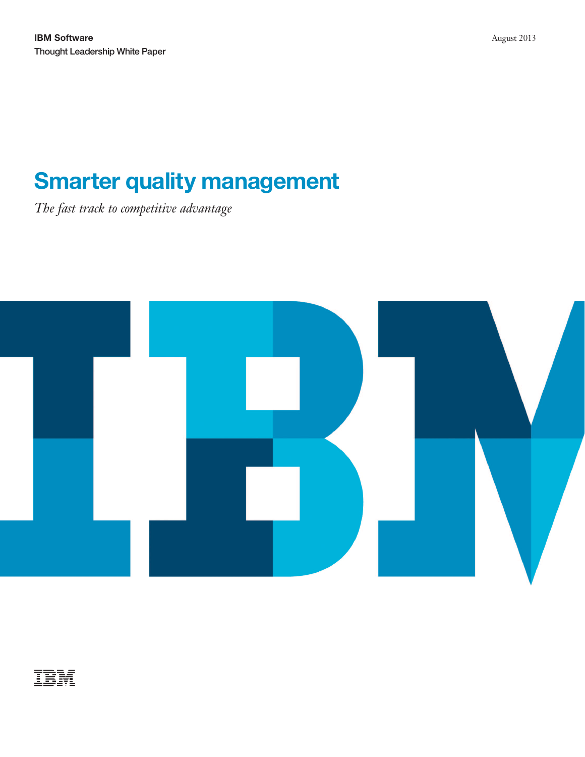# **Smarter quality management**

*The fast track to competitive advantage*



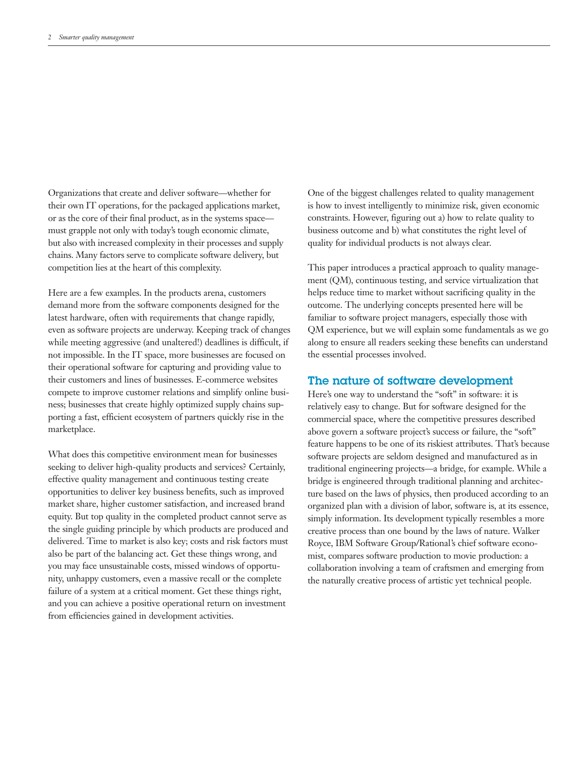Organizations that create and deliver software—whether for their own IT operations, for the packaged applications market, or as the core of their final product, as in the systems space must grapple not only with today's tough economic climate, but also with increased complexity in their processes and supply chains. Many factors serve to complicate software delivery, but competition lies at the heart of this complexity.

Here are a few examples. In the products arena, customers demand more from the software components designed for the latest hardware, often with requirements that change rapidly, even as software projects are underway. Keeping track of changes while meeting aggressive (and unaltered!) deadlines is difficult, if not impossible. In the IT space, more businesses are focused on their operational software for capturing and providing value to their customers and lines of businesses. E-commerce websites compete to improve customer relations and simplify online business; businesses that create highly optimized supply chains supporting a fast, efficient ecosystem of partners quickly rise in the marketplace.

What does this competitive environment mean for businesses seeking to deliver high-quality products and services? Certainly, effective quality management and continuous testing create opportunities to deliver key business benefits, such as improved market share, higher customer satisfaction, and increased brand equity. But top quality in the completed product cannot serve as the single guiding principle by which products are produced and delivered. Time to market is also key; costs and risk factors must also be part of the balancing act. Get these things wrong, and you may face unsustainable costs, missed windows of opportunity, unhappy customers, even a massive recall or the complete failure of a system at a critical moment. Get these things right, and you can achieve a positive operational return on investment from efficiencies gained in development activities.

One of the biggest challenges related to quality management is how to invest intelligently to minimize risk, given economic constraints. However, figuring out a) how to relate quality to business outcome and b) what constitutes the right level of quality for individual products is not always clear.

This paper introduces a practical approach to quality management (QM), continuous testing, and service virtualization that helps reduce time to market without sacrificing quality in the outcome. The underlying concepts presented here will be familiar to software project managers, especially those with QM experience, but we will explain some fundamentals as we go along to ensure all readers seeking these benefits can understand the essential processes involved.

#### The nature of software development

Here's one way to understand the "soft" in software: it is relatively easy to change. But for software designed for the commercial space, where the competitive pressures described above govern a software project's success or failure, the "soft" feature happens to be one of its riskiest attributes. That's because software projects are seldom designed and manufactured as in traditional engineering projects—a bridge, for example. While a bridge is engineered through traditional planning and architecture based on the laws of physics, then produced according to an organized plan with a division of labor, software is, at its essence, simply information. Its development typically resembles a more creative process than one bound by the laws of nature. Walker Royce, IBM Software Group/Rational's chief software economist, compares software production to movie production: a collaboration involving a team of craftsmen and emerging from the naturally creative process of artistic yet technical people.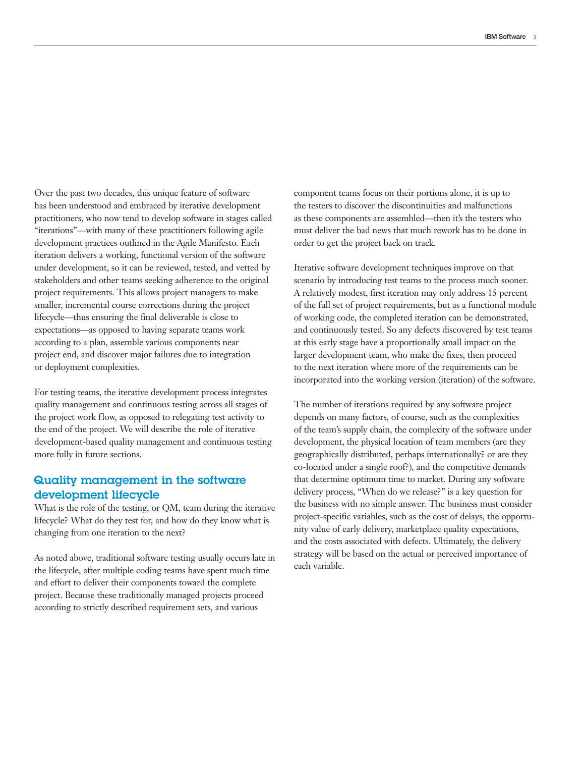Over the past two decades, this unique feature of software has been understood and embraced by iterative development practitioners, who now tend to develop software in stages called "iterations"—with many of these practitioners following agile development practices outlined in the Agile Manifesto. Each iteration delivers a working, functional version of the software under development, so it can be reviewed, tested, and vetted by stakeholders and other teams seeking adherence to the original project requirements. This allows project managers to make smaller, incremental course corrections during the project lifecycle—thus ensuring the final deliverable is close to expectations—as opposed to having separate teams work according to a plan, assemble various components near project end, and discover major failures due to integration or deployment complexities.

For testing teams, the iterative development process integrates quality management and continuous testing across all stages of the project work flow, as opposed to relegating test activity to the end of the project. We will describe the role of iterative development-based quality management and continuous testing more fully in future sections.

## Quality management in the software development lifecycle

What is the role of the testing, or QM, team during the iterative lifecycle? What do they test for, and how do they know what is changing from one iteration to the next?

As noted above, traditional software testing usually occurs late in the lifecycle, after multiple coding teams have spent much time and effort to deliver their components toward the complete project. Because these traditionally managed projects proceed according to strictly described requirement sets, and various

component teams focus on their portions alone, it is up to the testers to discover the discontinuities and malfunctions as these components are assembled—then it's the testers who must deliver the bad news that much rework has to be done in order to get the project back on track.

Iterative software development techniques improve on that scenario by introducing test teams to the process much sooner. A relatively modest, first iteration may only address 15 percent of the full set of project requirements, but as a functional module of working code, the completed iteration can be demonstrated, and continuously tested. So any defects discovered by test teams at this early stage have a proportionally small impact on the larger development team, who make the fixes, then proceed to the next iteration where more of the requirements can be incorporated into the working version (iteration) of the software.

The number of iterations required by any software project depends on many factors, of course, such as the complexities of the team's supply chain, the complexity of the software under development, the physical location of team members (are they geographically distributed, perhaps internationally? or are they co-located under a single roof?), and the competitive demands that determine optimum time to market. During any software delivery process, "When do we release?" is a key question for the business with no simple answer. The business must consider project-specific variables, such as the cost of delays, the opportunity value of early delivery, marketplace quality expectations, and the costs associated with defects. Ultimately, the delivery strategy will be based on the actual or perceived importance of each variable.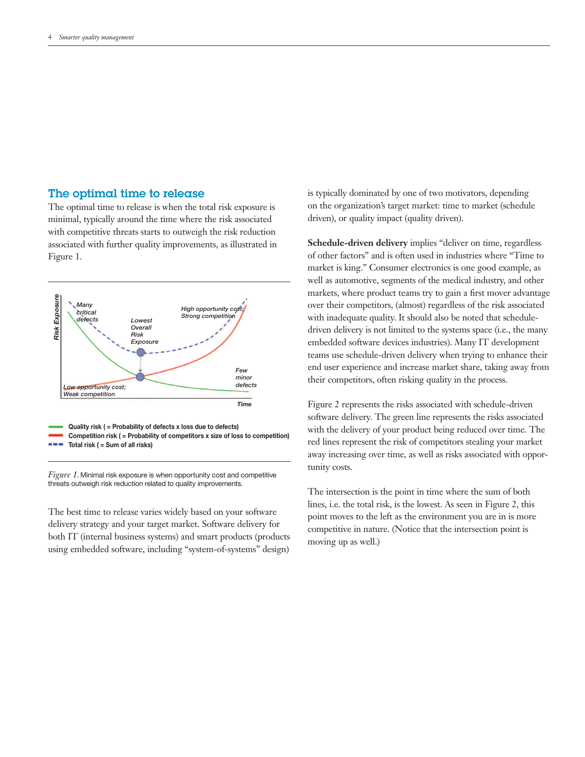#### The optimal time to release

The optimal time to release is when the total risk exposure is minimal, typically around the time where the risk associated with competitive threats starts to outweigh the risk reduction associated with further quality improvements, as illustrated in Figure 1.



*Figure 1*. Minimal risk exposure is when opportunity cost and competitive threats outweigh risk reduction related to quality improvements.

The best time to release varies widely based on your software delivery strategy and your target market. Software delivery for both IT (internal business systems) and smart products (products using embedded software, including "system-of-systems" design) is typically dominated by one of two motivators, depending on the organization's target market: time to market (schedule driven), or quality impact (quality driven).

**Schedule-driven delivery** implies "deliver on time, regardless of other factors" and is often used in industries where "Time to market is king." Consumer electronics is one good example, as well as automotive, segments of the medical industry, and other markets, where product teams try to gain a first mover advantage over their competitors, (almost) regardless of the risk associated with inadequate quality. It should also be noted that scheduledriven delivery is not limited to the systems space (i.e., the many embedded software devices industries). Many IT development teams use schedule-driven delivery when trying to enhance their end user experience and increase market share, taking away from their competitors, often risking quality in the process.

Figure 2 represents the risks associated with schedule-driven software delivery. The green line represents the risks associated with the delivery of your product being reduced over time. The red lines represent the risk of competitors stealing your market away increasing over time, as well as risks associated with opportunity costs.

The intersection is the point in time where the sum of both lines, i.e. the total risk, is the lowest. As seen in Figure 2, this point moves to the left as the environment you are in is more competitive in nature. (Notice that the intersection point is moving up as well.)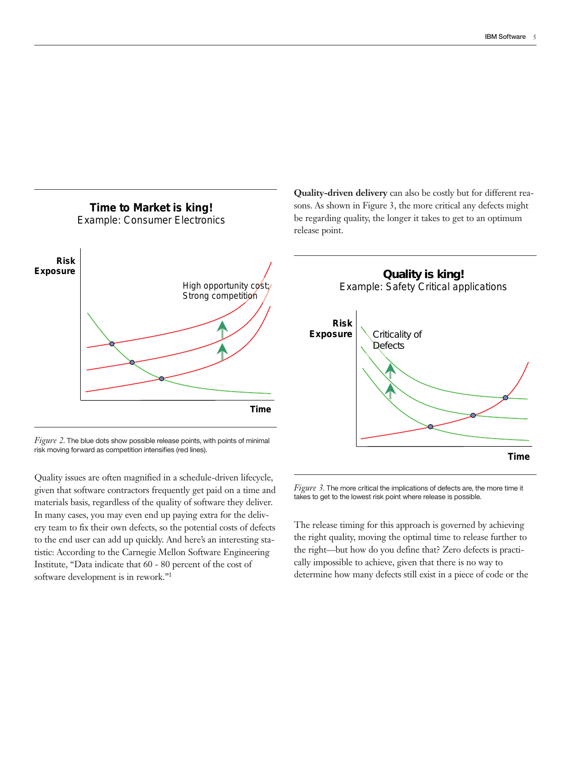

*Figure 2*. The blue dots show possible release points, with points of minimal risk moving forward as competition intensifies (red lines).

Quality issues are often magnified in a schedule-driven lifecycle, given that software contractors frequently get paid on a time and materials basis, regardless of the quality of software they deliver. In many cases, you may even end up paying extra for the delivery team to fix their own defects, so the potential costs of defects to the end user can add up quickly. And here's an interesting statistic: According to the Carnegie Mellon Software Engineering Institute, "Data indicate that 60 - 80 percent of the cost of software development is in rework."1

**Quality-driven delivery** can also be costly but for different reasons. As shown in Figure 3, the more critical any defects might be regarding quality, the longer it takes to get to an optimum release point.



*Figure 3*. The more critical the implications of defects are, the more time it takes to get to the lowest risk point where release is possible.

The release timing for this approach is governed by achieving the right quality, moving the optimal time to release further to the right—but how do you define that? Zero defects is practically impossible to achieve, given that there is no way to determine how many defects still exist in a piece of code or the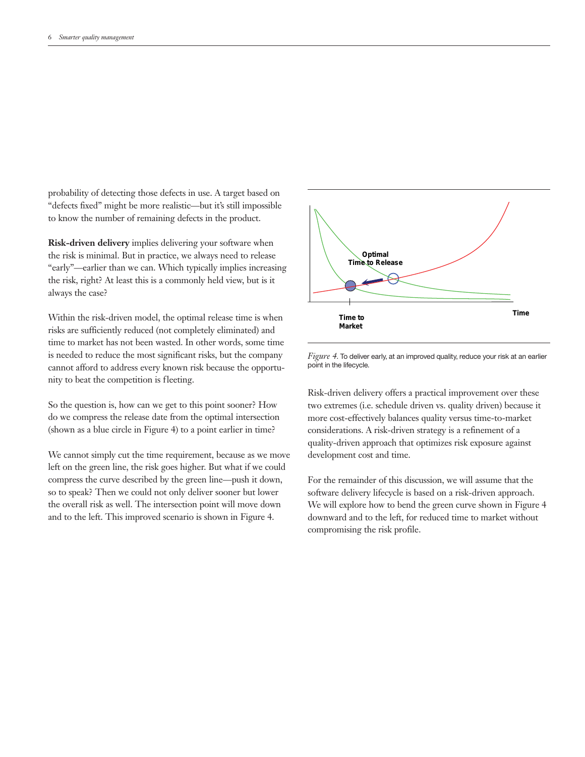probability of detecting those defects in use. A target based on "defects fixed" might be more realistic—but it's still impossible to know the number of remaining defects in the product.

**Risk-driven delivery** implies delivering your software when the risk is minimal. But in practice, we always need to release "early"—earlier than we can. Which typically implies increasing the risk, right? At least this is a commonly held view, but is it always the case?

Within the risk-driven model, the optimal release time is when risks are sufficiently reduced (not completely eliminated) and time to market has not been wasted. In other words, some time is needed to reduce the most significant risks, but the company cannot afford to address every known risk because the opportunity to beat the competition is fleeting.

So the question is, how can we get to this point sooner? How do we compress the release date from the optimal intersection (shown as a blue circle in Figure 4) to a point earlier in time?

We cannot simply cut the time requirement, because as we move left on the green line, the risk goes higher. But what if we could compress the curve described by the green line—push it down, so to speak? Then we could not only deliver sooner but lower the overall risk as well. The intersection point will move down and to the left. This improved scenario is shown in Figure 4.



![](_page_5_Figure_7.jpeg)

Risk-driven delivery offers a practical improvement over these two extremes (i.e. schedule driven vs. quality driven) because it more cost-effectively balances quality versus time-to-market considerations. A risk-driven strategy is a refinement of a quality-driven approach that optimizes risk exposure against development cost and time.

For the remainder of this discussion, we will assume that the software delivery lifecycle is based on a risk-driven approach. We will explore how to bend the green curve shown in Figure 4 downward and to the left, for reduced time to market without compromising the risk profile.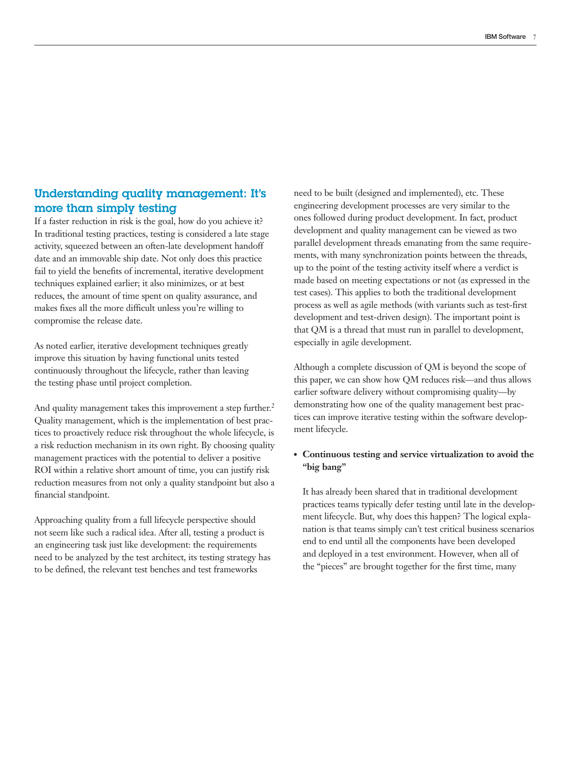# Understanding quality management: It's more than simply testing

If a faster reduction in risk is the goal, how do you achieve it? In traditional testing practices, testing is considered a late stage activity, squeezed between an often-late development handoff date and an immovable ship date. Not only does this practice fail to yield the benefits of incremental, iterative development techniques explained earlier; it also minimizes, or at best reduces, the amount of time spent on quality assurance, and makes fixes all the more difficult unless you're willing to compromise the release date.

As noted earlier, iterative development techniques greatly improve this situation by having functional units tested continuously throughout the lifecycle, rather than leaving the testing phase until project completion.

And quality management takes this improvement a step further.<sup>2</sup> Quality management, which is the implementation of best practices to proactively reduce risk throughout the whole lifecycle, is a risk reduction mechanism in its own right. By choosing quality management practices with the potential to deliver a positive ROI within a relative short amount of time, you can justify risk reduction measures from not only a quality standpoint but also a financial standpoint.

Approaching quality from a full lifecycle perspective should not seem like such a radical idea. After all, testing a product is an engineering task just like development: the requirements need to be analyzed by the test architect, its testing strategy has to be defined, the relevant test benches and test frameworks

need to be built (designed and implemented), etc. These engineering development processes are very similar to the ones followed during product development. In fact, product development and quality management can be viewed as two parallel development threads emanating from the same requirements, with many synchronization points between the threads, up to the point of the testing activity itself where a verdict is made based on meeting expectations or not (as expressed in the test cases). This applies to both the traditional development process as well as agile methods (with variants such as test-first development and test-driven design). The important point is that QM is a thread that must run in parallel to development, especially in agile development.

Although a complete discussion of QM is beyond the scope of this paper, we can show how QM reduces risk—and thus allows earlier software delivery without compromising quality—by demonstrating how one of the quality management best practices can improve iterative testing within the software development lifecycle.

### ●● **Continuous testing and service virtualization to avoid the "big bang"**

It has already been shared that in traditional development practices teams typically defer testing until late in the development lifecycle. But, why does this happen? The logical explanation is that teams simply can't test critical business scenarios end to end until all the components have been developed and deployed in a test environment. However, when all of the "pieces" are brought together for the first time, many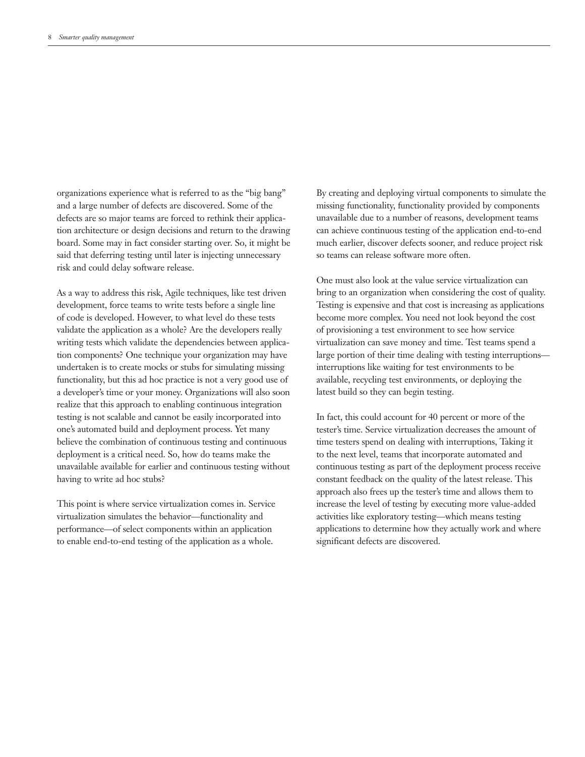organizations experience what is referred to as the "big bang" and a large number of defects are discovered. Some of the defects are so major teams are forced to rethink their application architecture or design decisions and return to the drawing board. Some may in fact consider starting over. So, it might be said that deferring testing until later is injecting unnecessary risk and could delay software release.

As a way to address this risk, Agile techniques, like test driven development, force teams to write tests before a single line of code is developed. However, to what level do these tests validate the application as a whole? Are the developers really writing tests which validate the dependencies between application components? One technique your organization may have undertaken is to create mocks or stubs for simulating missing functionality, but this ad hoc practice is not a very good use of a developer's time or your money. Organizations will also soon realize that this approach to enabling continuous integration testing is not scalable and cannot be easily incorporated into one's automated build and deployment process. Yet many believe the combination of continuous testing and continuous deployment is a critical need. So, how do teams make the unavailable available for earlier and continuous testing without having to write ad hoc stubs?

This point is where service virtualization comes in. Service virtualization simulates the behavior—functionality and performance—of select components within an application to enable end-to-end testing of the application as a whole.

By creating and deploying virtual components to simulate the missing functionality, functionality provided by components unavailable due to a number of reasons, development teams can achieve continuous testing of the application end-to-end much earlier, discover defects sooner, and reduce project risk so teams can release software more often.

One must also look at the value service virtualization can bring to an organization when considering the cost of quality. Testing is expensive and that cost is increasing as applications become more complex. You need not look beyond the cost of provisioning a test environment to see how service virtualization can save money and time. Test teams spend a large portion of their time dealing with testing interruptions interruptions like waiting for test environments to be available, recycling test environments, or deploying the latest build so they can begin testing.

In fact, this could account for 40 percent or more of the tester's time. Service virtualization decreases the amount of time testers spend on dealing with interruptions, Taking it to the next level, teams that incorporate automated and continuous testing as part of the deployment process receive constant feedback on the quality of the latest release. This approach also frees up the tester's time and allows them to increase the level of testing by executing more value-added activities like exploratory testing—which means testing applications to determine how they actually work and where significant defects are discovered.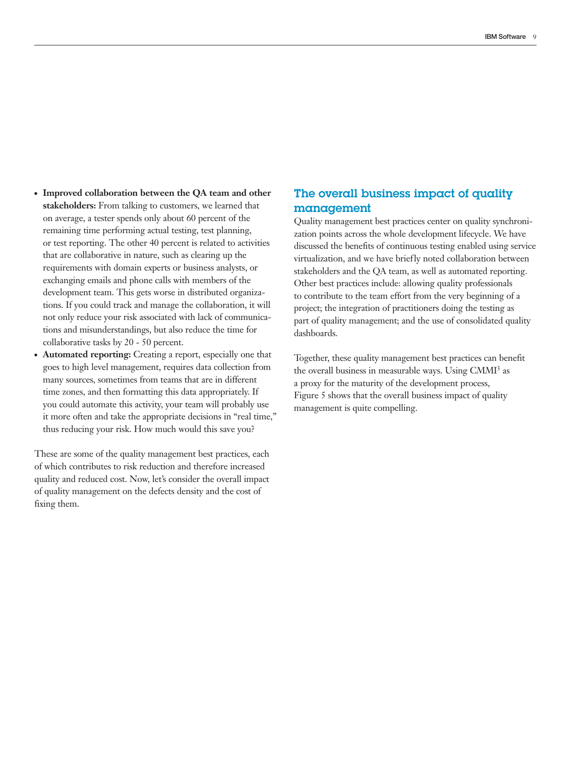- Improved collaboration between the QA team and other **stakeholders:** From talking to customers, we learned that on average, a tester spends only about 60 percent of the remaining time performing actual testing, test planning, or test reporting. The other 40 percent is related to activities that are collaborative in nature, such as clearing up the requirements with domain experts or business analysts, or exchanging emails and phone calls with members of the development team. This gets worse in distributed organizations. If you could track and manage the collaboration, it will not only reduce your risk associated with lack of communications and misunderstandings, but also reduce the time for collaborative tasks by 20 - 50 percent.
- Automated reporting: Creating a report, especially one that goes to high level management, requires data collection from many sources, sometimes from teams that are in different time zones, and then formatting this data appropriately. If you could automate this activity, your team will probably use it more often and take the appropriate decisions in "real time ," thus reducing your risk. How much would this save you?

These are some of the quality management best practices, each of which contributes to risk reduction and therefore increased quality and reduced cost. Now, let's consider the overall impact of quality management on the defects density and the cost of fixing them.

# The overall business impact of quality management

Quality management best practices center on quality synchronization points across the whole development lifecycle. We have discussed the benefits of continuous testing enabled using service virtualization, and we have briefly noted collaboration between stakeholders and the QA team, as well as automated reporting. Other best practices include: allowing quality professionals to contribute to the team effort from the very beginning of a project; the integration of practitioners doing the testing as part of quality management; and the use of consolidated quality dashboards.

Together, these quality management best practices can benefit the overall business in measurable ways. Using CMMI<sup>3</sup> as a proxy for the maturity of the development process, Figure 5 shows that the overall business impact of quality management is quite compelling.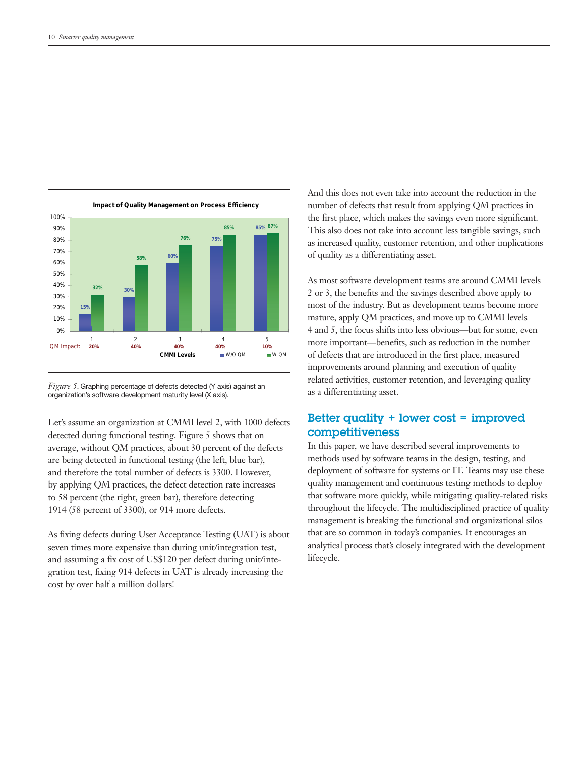![](_page_9_Figure_1.jpeg)

*Figure 5*. Graphing percentage of defects detected (Y axis) against an organization's software development maturity level (X axis).

Let's assume an organization at CMMI level 2, with 1000 defects detected during functional testing. Figure 5 shows that on average, without QM practices, about 30 percent of the defects are being detected in functional testing (the left, blue bar), and therefore the total number of defects is 3300. However, by applying QM practices, the defect detection rate increases to 58 percent (the right, green bar), therefore detecting 1914 (58 percent of 3300), or 914 more defects.

As fixing defects during User Acceptance Testing (UAT) is about seven times more expensive than during unit/integration test, and assuming a fix cost of US\$120 per defect during unit/integration test, fixing 914 defects in UAT is already increasing the cost by over half a million dollars!

And this does not even take into account the reduction in the number of defects that result from applying QM practices in the first place, which makes the savings even more significant. This also does not take into account less tangible savings, such as increased quality, customer retention, and other implications of quality as a differentiating asset.

As most software development teams are around CMMI levels 2 or 3, the benefits and the savings described above apply to most of the industry. But as development teams become more mature, apply QM practices, and move up to CMMI levels 4 and 5, the focus shifts into less obvious—but for some, even more important—benefits, such as reduction in the number of defects that are introduced in the first place, measured improvements around planning and execution of quality related activities, customer retention, and leveraging quality as a differentiating asset.

# Better quality + lower cost = improved competitiveness

In this paper, we have described several improvements to methods used by software teams in the design, testing, and deployment of software for systems or IT. Teams may use these quality management and continuous testing methods to deploy that software more quickly, while mitigating quality-related risks throughout the lifecycle. The multidisciplined practice of quality management is breaking the functional and organizational silos that are so common in today's companies. It encourages an analytical process that's closely integrated with the development lifecycle.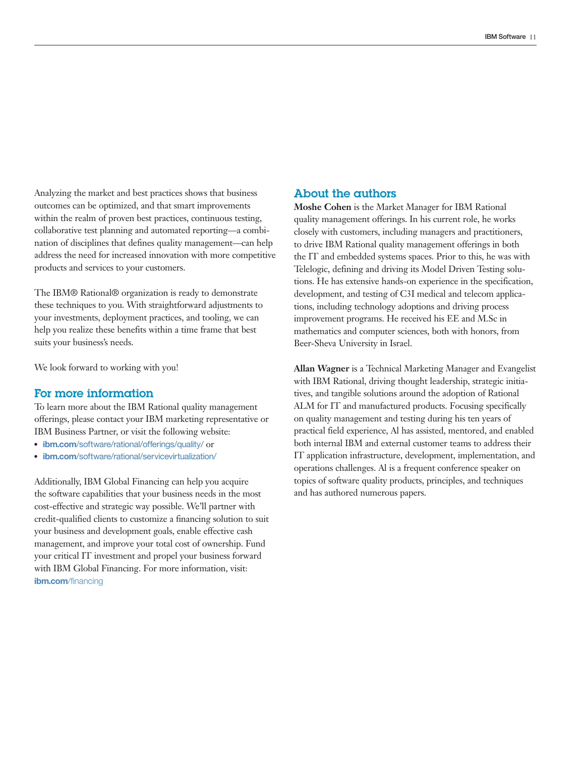Analyzing the market and best practices shows that business outcomes can be optimized, and that smart improvements within the realm of proven best practices, continuous testing, collaborative test planning and automated reporting—a combination of disciplines that defines quality management—can help address the need for increased innovation with more competitive products and services to your customers.

The IBM® Rational® organization is ready to demonstrate these techniques to you. With straightforward adjustments to your investments, deployment practices, and tooling, we can help you realize these benefits within a time frame that best suits your business's needs.

We look forward to working with you!

## For more information

To learn more about the IBM Rational quality management offerings, please contact your IBM marketing representative or IBM Business Partner, or visit the following website:

- **ibm.com**[/software/rational/offerings/quality/](http://www.ibm.com/software/rational/offerings/quality/ or) or
- **ibm.com**[/software/rational/servicevirtualization/](http://www.ibm.com/software/rational/servicevirtualization/ )

Additionally, IBM Global Financing can help you acquire the software capabilities that your business needs in the most cost-effective and strategic way possible. We'll partner with credit-qualified clients to customize a financing solution to suit your business and development goals, enable effective cash management, and improve your total cost of ownership. Fund your critical IT investment and propel your business forward with IBM Global Financing. For more information, visit: **ibm.com**[/financing](http://www.ibm.com/financing)

#### About the authors

**Moshe Cohen** is the Market Manager for IBM Rational quality management offerings. In his current role, he works closely with customers, including managers and practitioners, to drive IBM Rational quality management offerings in both the IT and embedded systems spaces. Prior to this, he was with Telelogic, defining and driving its Model Driven Testing solutions. He has extensive hands-on experience in the specification, development, and testing of C3I medical and telecom applications, including technology adoptions and driving process improvement programs. He received his EE and M.Sc in mathematics and computer sciences, both with honors, from Beer-Sheva University in Israel.

**Allan Wagner** is a Technical Marketing Manager and Evangelist with IBM Rational, driving thought leadership, strategic initiatives, and tangible solutions around the adoption of Rational ALM for IT and manufactured products. Focusing specifically on quality management and testing during his ten years of practical field experience, Al has assisted, mentored, and enabled both internal IBM and external customer teams to address their IT application infrastructure, development, implementation, and operations challenges. Al is a frequent conference speaker on topics of software quality products, principles, and techniques and has authored numerous papers.